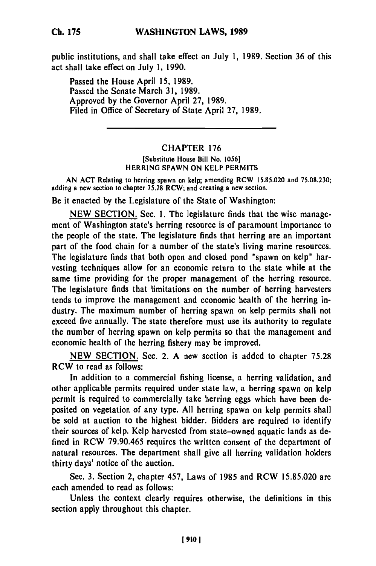**Ch. 175**

public institutions, and shall take effect on July **1, 1989.** Section **36** of this act shall take effect on July **1, 1990.**

Passed the House April **15, 1989.** Passed the Senate March **31, 1989.** Approved **by** the Governor April **27, 1989.** Filed in Office of Secretary of State April **27, 1989.**

## CHAPTER **176**

[Substitute House Bill No. **1056]** HERRING **SPAWN ON** KELP PERMITS

**AN ACT** Relating to herring spawn on kelp; amending RCW **15.85.020** and **75.08.230;** adding a new section to chapter **75.28** RCW; and creating a new section.

Be it enacted **by** the Legislature of the State of Washington:

**NEW SECTION.** Sec. **1.** The legislature finds that the wise management of Washington state's herring resource is of paramount importance to the people of the state. The legislature finds that herring are an important part of the food chain for a number of the state's living marine resources. The legislature finds that both open and closed pond "spawn on kelp" harvesting techniques allow for an economic return to the state while at the same time providing for the proper management of the herring resource. The legislature finds that limitations on the number of herring harvesters tends to improve the management and economic health **of** the herring industry. The maximum number of herring spawn on kelp permits shall not exceed five annually. The state therefore must use its authority to regulate the number of herring spawn on kelp permits so that the management and economic health of the herring fishery may be improved.

**NEW** SECTION. Sec. 2. **A** new section is added to chapter **75.28** RCW to read as follows:

In addition to a commercial fishing license, a herring validation, and other applicable permits required under state law, a herring spawn on kelp permit is required to commercially take herring eggs which have been **de**posited on vegetation of any type. **All** herring spawn on kelp permits shall be sold at auction to the highest bidder. Bidders are required to identify their sources of kelp. Kelp harvested from state-owned aquatic lands as **de**fined in RCW **79.90.465** requires the written consent of the department of natural resources. The department shall give all herring validation holders thirty days' notice of the auction.

Sec. **3.** Section 2, chapter 457, Laws of **1985** and RCW **15.85.020** are each amended to read as follows:

Unless the context clearly requires otherwise, the definitions in this section apply throughout this chapter.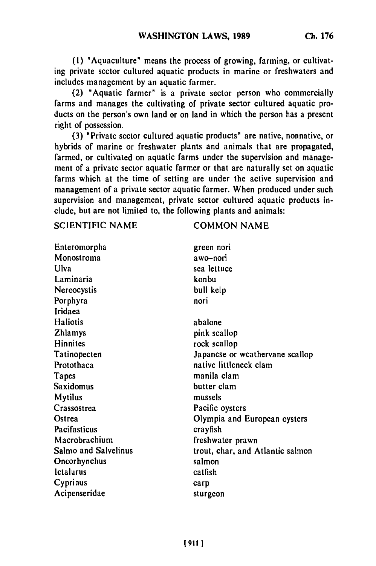**(1)** "Aquaculture" means the process of growing, farming, or cultivating private sector cultured aquatic products in marine or freshwaters and includes management **by** an aquatic farmer.

(2) "Aquatic farmer" is a private sector person who commercially farms and manages the cultivating of private sector cultured aquatic products on the person's own land or on land in which the person has a present right of possession.

**(3)** "Private sector cultured aquatic products" **are** native, nonnative, or hybrids of marine or freshwater plants and animals that are propagated, farmed, or cultivated on aquatic farms under the supervision and management of a private sector aquatic farmer or that are naturally set on aquatic farms which at the time of setting are under the active supervision and management of a private sector aquatic farmer. When produced under such supervision and management, private sector cultured aquatic products include, but are not limited to, the following plants and animals:

SCIENTIFIC NAME COMMON NAME

| Enteromorpha         | green nori                       |
|----------------------|----------------------------------|
| Monostroma           | awo-nori                         |
| Ulva                 | sea lettuce                      |
| Laminaria            | konbu                            |
| Nereocystis          | bull kelp                        |
| Porphyra             | nori                             |
| Iridaea              |                                  |
| Haliotis             | abalone                          |
| <b>Zhlamys</b>       | pink scallop                     |
| Hinnites             | rock scallop                     |
| Tatinopecten         | Japanese or weathervane scallop  |
| Protothaca           | native littleneck clam           |
| Tapes                | manila clam                      |
| Saxidomus            | butter clam                      |
| <b>Mytilus</b>       | mussels                          |
| Crassostrea          | Pacific oysters                  |
| Ostrea               | Olympia and European oysters     |
| Pacifasticus         | crayfish                         |
| Macrobrachium        | freshwater prawn                 |
| Salmo and Salvelinus | trout, char, and Atlantic salmon |
| Oncorhynchus         | salmon                           |
| Ictalurus            | catfish                          |
| Cyprinus             | carp                             |
| Acipenseridae        | sturgeon                         |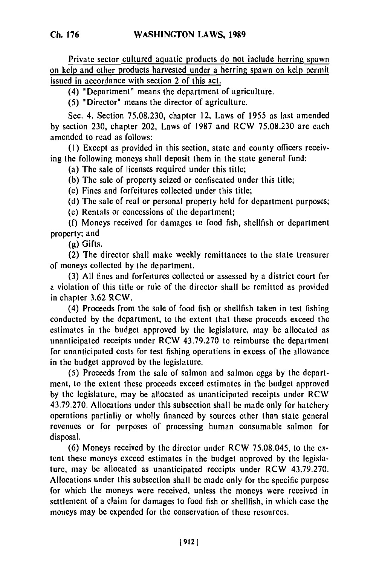Private sector cultured aquatic products do not include herring spawn on kelp and other products harvested under a herring spawn on kelp permit issued in accordance with section 2 of this act.

(4) "Department" means the department of agriculture.

**(5)** "Director" means the director of agriculture.

Sec. 4. Section 75.08.230, chapter 12, Laws of 1955 as last amended **by** section 230, chapter 202, Laws of **1987** and RCW 75.08.230 are each amended to read as follows:

**(I)** Except as provided in this section, state and county officers receiving the following moneys shall deposit them in the state general fund:

(a) The sale of licenses required under this title;

**(b)** The sale of property seized or confiscated under this title;

(c) Fines and forfeitures collected under this title;

**(d)** The sale of real or personal property held for department purposes;

**(e)** Rentals or concessions of the department;

**(f)** Moneys received for damages to food fish, shellfish or department property; and

**(g)** Gifts.

(2) The director shall make weekly remittances to the state treasurer of moneys collected **by** the department.

**(3) All** fines and forfeitures collected or assessed **by** a district court for a violation of this title or rule of the director shall **be** remitted as provided in chapter 3.62 RCW.

(4) Proceeds from the sale of food fish or shellfish taken in test fishing conducted **by** the department, to the extent that these proceeds exceed the estimates in the budget approved **by** the legislature, may be allocated as unanticipated receipts under RCW 43.79.270 to reimburse the department for unanticipated costs for test fishing operations in excess of the allowance in the budget approved **by** the legislature.

**(5)** Proceeds from the sale of salmon and salmon eggs **by** the department, to the extent these proceeds exceed estimates in the budget approved **by** the legislature, may be allocated as unanticipated receipts under RCW 43.79.270. Allocations under this subsection shall be made only for hatchery operations partially or wholly financed **by** sources other than state general revenues or for purposes of processing human consumable salmon for disposal.

**(6)** Moneys received **by** the director under RCW 75.08.045, to the extent these moneys exceed estimates in the budget approved **by** the legislature, may **be** allocated as unanticipated receipts under RCW 43.79.270. Allocations under this subsection shall be made only for the specific purpose for which the moneys were received, unless the moneys were received in settlement of a claim for damages to food fish or shellfish, in which case the moneys may be expended for the conservation of these resources.